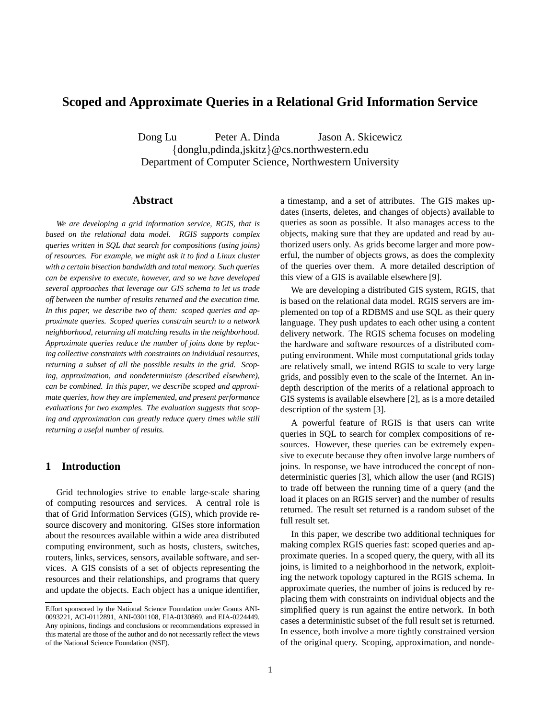# **Scoped and Approximate Queries in a Relational Grid Information Service**

Dong Lu Peter A. Dinda Jason A. Skicewicz {donglu,pdinda,jskitz}@cs.northwestern.edu Department of Computer Science, Northwestern University

# **Abstract**

*We are developing a grid information service, RGIS, that is based on the relational data model. RGIS supports complex queries written in SQL that search for compositions (using joins) of resources. For example, we might ask it to find a Linux cluster with a certain bisection bandwidth and total memory. Such queries can be expensive to execute, however, and so we have developed several approaches that leverage our GIS schema to let us trade off between the number of results returned and the execution time. In this paper, we describe two of them: scoped queries and approximate queries. Scoped queries constrain search to a network neighborhood, returning all matching results in the neighborhood. Approximate queries reduce the number of joins done by replacing collective constraints with constraints on individual resources, returning a subset of all the possible results in the grid. Scoping, approximation, and nondeterminism (described elsewhere), can be combined. In this paper, we describe scoped and approximate queries, how they are implemented, and present performance evaluations for two examples. The evaluation suggests that scoping and approximation can greatly reduce query times while still returning a useful number of results.*

#### **1 Introduction**

Grid technologies strive to enable large-scale sharing of computing resources and services. A central role is that of Grid Information Services (GIS), which provide resource discovery and monitoring. GISes store information about the resources available within a wide area distributed computing environment, such as hosts, clusters, switches, routers, links, services, sensors, available software, and services. A GIS consists of a set of objects representing the resources and their relationships, and programs that query and update the objects. Each object has a unique identifier,

a timestamp, and a set of attributes. The GIS makes updates (inserts, deletes, and changes of objects) available to queries as soon as possible. It also manages access to the objects, making sure that they are updated and read by authorized users only. As grids become larger and more powerful, the number of objects grows, as does the complexity of the queries over them. A more detailed description of this view of a GIS is available elsewhere [9].

We are developing a distributed GIS system, RGIS, that is based on the relational data model. RGIS servers are implemented on top of a RDBMS and use SQL as their query language. They push updates to each other using a content delivery network. The RGIS schema focuses on modeling the hardware and software resources of a distributed computing environment. While most computational grids today are relatively small, we intend RGIS to scale to very large grids, and possibly even to the scale of the Internet. An indepth description of the merits of a relational approach to GIS systems is available elsewhere [2], as is a more detailed description of the system [3].

A powerful feature of RGIS is that users can write queries in SQL to search for complex compositions of resources. However, these queries can be extremely expensive to execute because they often involve large numbers of joins. In response, we have introduced the concept of nondeterministic queries [3], which allow the user (and RGIS) to trade off between the running time of a query (and the load it places on an RGIS server) and the number of results returned. The result set returned is a random subset of the full result set.

In this paper, we describe two additional techniques for making complex RGIS queries fast: scoped queries and approximate queries. In a scoped query, the query, with all its joins, is limited to a neighborhood in the network, exploiting the network topology captured in the RGIS schema. In approximate queries, the number of joins is reduced by replacing them with constraints on individual objects and the simplified query is run against the entire network. In both cases a deterministic subset of the full result set is returned. In essence, both involve a more tightly constrained version of the original query. Scoping, approximation, and nonde-

Effort sponsored by the National Science Foundation under Grants ANI-0093221, ACI-0112891, ANI-0301108, EIA-0130869, and EIA-0224449. Any opinions, findings and conclusions or recommendations expressed in this material are those of the author and do not necessarily reflect the views of the National Science Foundation (NSF).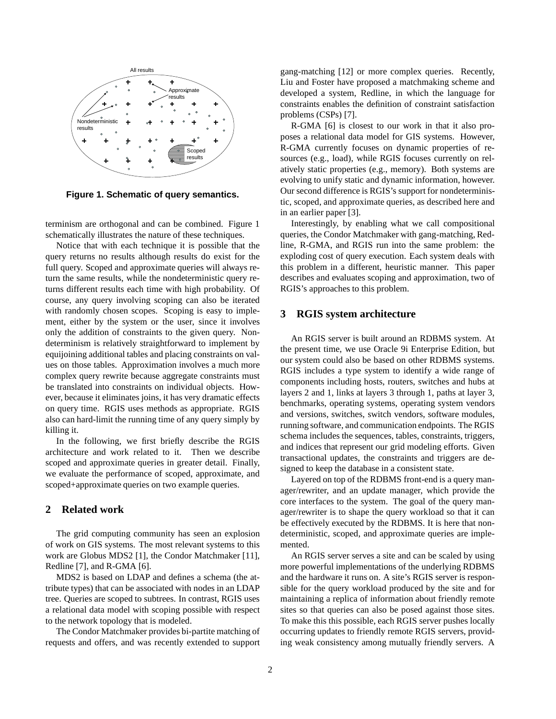

**Figure 1. Schematic of query semantics.**

terminism are orthogonal and can be combined. Figure 1 schematically illustrates the nature of these techniques.

Notice that with each technique it is possible that the query returns no results although results do exist for the full query. Scoped and approximate queries will always return the same results, while the nondeterministic query returns different results each time with high probability. Of course, any query involving scoping can also be iterated with randomly chosen scopes. Scoping is easy to implement, either by the system or the user, since it involves only the addition of constraints to the given query. Nondeterminism is relatively straightforward to implement by equijoining additional tables and placing constraints on values on those tables. Approximation involves a much more complex query rewrite because aggregate constraints must be translated into constraints on individual objects. However, because it eliminates joins, it has very dramatic effects on query time. RGIS uses methods as appropriate. RGIS also can hard-limit the running time of any query simply by killing it.

In the following, we first briefly describe the RGIS architecture and work related to it. Then we describe scoped and approximate queries in greater detail. Finally, we evaluate the performance of scoped, approximate, and scoped+approximate queries on two example queries.

# **2 Related work**

The grid computing community has seen an explosion of work on GIS systems. The most relevant systems to this work are Globus MDS2 [1], the Condor Matchmaker [11], Redline [7], and R-GMA [6].

MDS2 is based on LDAP and defines a schema (the attribute types) that can be associated with nodes in an LDAP tree. Queries are scoped to subtrees. In contrast, RGIS uses a relational data model with scoping possible with respect to the network topology that is modeled.

The Condor Matchmaker provides bi-partite matching of requests and offers, and was recently extended to support gang-matching [12] or more complex queries. Recently, Liu and Foster have proposed a matchmaking scheme and developed a system, Redline, in which the language for constraints enables the definition of constraint satisfaction problems (CSPs) [7].

R-GMA [6] is closest to our work in that it also proposes a relational data model for GIS systems. However, R-GMA currently focuses on dynamic properties of resources (e.g., load), while RGIS focuses currently on relatively static properties (e.g., memory). Both systems are evolving to unify static and dynamic information, however. Our second difference is RGIS's support for nondeterministic, scoped, and approximate queries, as described here and in an earlier paper [3].

Interestingly, by enabling what we call compositional queries, the Condor Matchmaker with gang-matching, Redline, R-GMA, and RGIS run into the same problem: the exploding cost of query execution. Each system deals with this problem in a different, heuristic manner. This paper describes and evaluates scoping and approximation, two of RGIS's approaches to this problem.

### **3 RGIS system architecture**

An RGIS server is built around an RDBMS system. At the present time, we use Oracle 9i Enterprise Edition, but our system could also be based on other RDBMS systems. RGIS includes a type system to identify a wide range of components including hosts, routers, switches and hubs at layers 2 and 1, links at layers 3 through 1, paths at layer 3, benchmarks, operating systems, operating system vendors and versions, switches, switch vendors, software modules, running software, and communication endpoints. The RGIS schema includes the sequences, tables, constraints, triggers, and indices that represent our grid modeling efforts. Given transactional updates, the constraints and triggers are designed to keep the database in a consistent state.

Layered on top of the RDBMS front-end is a query manager/rewriter, and an update manager, which provide the core interfaces to the system. The goal of the query manager/rewriter is to shape the query workload so that it can be effectively executed by the RDBMS. It is here that nondeterministic, scoped, and approximate queries are implemented.

An RGIS server serves a site and can be scaled by using more powerful implementations of the underlying RDBMS and the hardware it runs on. A site's RGIS server is responsible for the query workload produced by the site and for maintaining a replica of information about friendly remote sites so that queries can also be posed against those sites. To make this this possible, each RGIS server pushes locally occurring updates to friendly remote RGIS servers, providing weak consistency among mutually friendly servers. A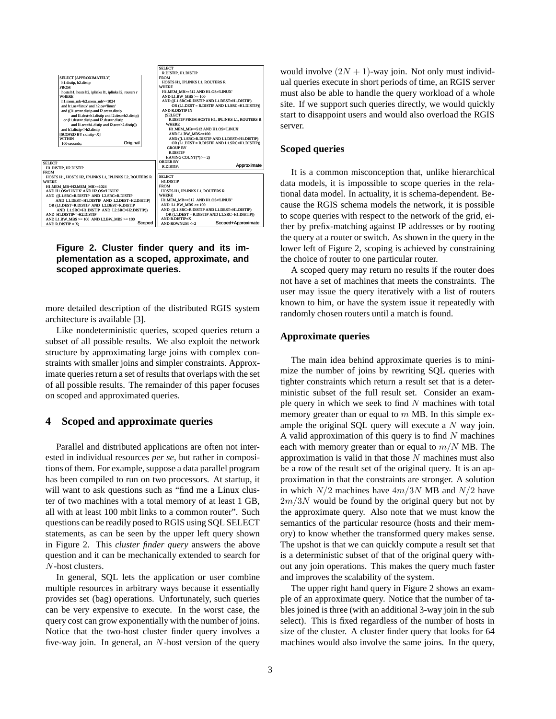|                                                       |        | <b>SELECT</b>                                |                                               |  |
|-------------------------------------------------------|--------|----------------------------------------------|-----------------------------------------------|--|
|                                                       |        | R.DISTIP, H1.DISTIP                          |                                               |  |
| SELECT [APPROXIMATELY]                                |        | <b>FROM</b>                                  |                                               |  |
| h1.distip, h2.distip                                  |        | HOSTS H1, IPLINKS L1, ROUTERS R              |                                               |  |
| <b>FROM</b>                                           |        | <b>WHERE</b>                                 |                                               |  |
| hosts h1, hosts h2, iplinks 11, iplinks 12, routers r |        | H1.MEM MB>=512 AND H1.OS='LINUX'             |                                               |  |
| <b>WHERE</b>                                          |        | AND L1.BW $MBS \geq 100$                     |                                               |  |
| h1.mem mb+h2.mem mb>= $1024$                          |        | AND ((L1.SRC=R.DISTIP AND L1.DEST=H1.DISTIP) |                                               |  |
| and h1 os='linux' and h2 os='linux'                   |        |                                              | OR (L1.DEST = R.DISTIP AND L1.SRC=H1.DISTIP)) |  |
| and ((11.src=r.distip and 12.src=r.distip             |        | <b>AND R DISTIP IN</b>                       |                                               |  |
| and 11.dest=h1.distip and l2.dest=h2.distip)          |        | <b>(SELECT)</b>                              |                                               |  |
| or (11.dest=r.distip and 12.dest=r.distip             |        |                                              | R.DISTIP FROM HOSTS H1, IPLINKS L1, ROUTERS R |  |
| and 11.src=h1.distip and 12.src=h2.distip))           |        | <b>WHERE</b>                                 |                                               |  |
| and h1.distip<br>$\bigcirc$ h2.distip                 |        | H1.MEM MB>=512 AND H1.OS='LINUX'             |                                               |  |
| [SCOPED BY r.distip=X]                                |        | AND L1.BW MBS>=100                           |                                               |  |
| <b>WITHIN</b>                                         |        |                                              | AND ((L1.SRC=R.DISTIP AND L1.DEST=H1.DISTIP)  |  |
| Original<br>100 seconds:                              |        |                                              | OR (L1.DEST = R.DISTIP AND L1.SRC=H1.DISTIP)) |  |
|                                                       |        | <b>GROUP BY</b>                              |                                               |  |
|                                                       |        | <b>R DISTIP</b>                              |                                               |  |
|                                                       |        | HAVING COUNT(*) $>= 2$ )                     |                                               |  |
| <b>SELECT</b>                                         |        | <b>ORDER BY</b>                              |                                               |  |
| H1.DISTIP. H2.DISTIP                                  |        | <b>R.DISTIP:</b>                             | Approximate                                   |  |
| <b>FROM</b>                                           |        |                                              |                                               |  |
| HOSTS H1. HOSTS H2. IPLINKS L1. IPLINKS L2. ROUTERS R |        | <b>SELECT</b>                                |                                               |  |
| <b>WHERE</b>                                          |        | <b>H1 DISTIP</b>                             |                                               |  |
| H1.MEM MB+H2.MEM MB>=1024                             |        | <b>FROM</b>                                  |                                               |  |
| AND H1 OS='LINUX' AND H2 OS='LINUX'                   |        | HOSTS H1. IPLINKS L1. ROUTERS R              |                                               |  |
| AND ((L1.SRC=R.DISTIP AND L2.SRC=R.DISTIP             |        | <b>WHERE</b>                                 |                                               |  |
| AND L1.DEST=H1.DISTIP AND L2.DEST=H2.DISTIP)          |        | H1.MEM MB>=512 AND H1.OS='LINUX'             |                                               |  |
| OR (L1.DEST=R.DISTIP AND L2.DEST=R.DISTIP             |        | AND L1.BW $MBS \ge 100$                      |                                               |  |
| AND L1.SRC=H1.DISTIP AND L2.SRC=H2.DISTIP))           |        | AND ((L1.SRC=R.DISTIP AND L1.DEST=H1.DISTIP) |                                               |  |
| AND H1 DISTIP<>H2 DISTIP                              |        |                                              | OR (L1.DEST = R.DISTIP AND L1.SRC=H1.DISTIP)) |  |
| AND L1.BW $MBS \ge 100$ AND L2.BW $MBS \ge 100$       |        | <b>AND R DISTIP=X</b>                        |                                               |  |
| AND R.DISTIP = $X$ :                                  | Scoped | AND ROWNUM $\leq 2$                          | Scoped+Approximate                            |  |

**Figure 2. Cluster finder query and its implementation as a scoped, approximate, and scoped approximate queries.**

more detailed description of the distributed RGIS system architecture is available [3].

Like nondeterministic queries, scoped queries return a subset of all possible results. We also exploit the network structure by approximating large joins with complex constraints with smaller joins and simpler constraints. Approximate queries return a set of results that overlaps with the set of all possible results. The remainder of this paper focuses on scoped and approximated queries.

# **4 Scoped and approximate queries**

Parallel and distributed applications are often not interested in individual resources *per se*, but rather in compositions of them. For example, suppose a data parallel program has been compiled to run on two processors. At startup, it will want to ask questions such as "find me a Linux cluster of two machines with a total memory of at least 1 GB, all with at least 100 mbit links to a common router". Such questions can be readily posed to RGIS using SQL SELECT statements, as can be seen by the upper left query shown in Figure 2. This *cluster finder query* answers the above question and it can be mechanically extended to search for N-host clusters.

In general, SQL lets the application or user combine multiple resources in arbitrary ways because it essentially provides set (bag) operations. Unfortunately, such queries can be very expensive to execute. In the worst case, the query cost can grow exponentially with the number of joins. Notice that the two-host cluster finder query involves a five-way join. In general, an  $N$ -host version of the query would involve  $(2N + 1)$ -way join. Not only must individual queries execute in short periods of time, an RGIS server must also be able to handle the query workload of a whole site. If we support such queries directly, we would quickly start to disappoint users and would also overload the RGIS server.

# **Scoped queries**

It is a common misconception that, unlike hierarchical data models, it is impossible to scope queries in the relational data model. In actuality, it is schema-dependent. Because the RGIS schema models the network, it is possible to scope queries with respect to the network of the grid, either by prefix-matching against IP addresses or by rooting the query at a router or switch. As shown in the query in the lower left of Figure 2, scoping is achieved by constraining the choice of router to one particular router.

A scoped query may return no results if the router does not have a set of machines that meets the constraints. The user may issue the query iteratively with a list of routers known to him, or have the system issue it repeatedly with randomly chosen routers until a match is found.

#### **Approximate queries**

The main idea behind approximate queries is to minimize the number of joins by rewriting SQL queries with tighter constraints which return a result set that is a deterministic subset of the full result set. Consider an example query in which we seek to find  $N$  machines with total memory greater than or equal to  $m$  MB. In this simple example the original SQL query will execute a N way join. A valid approximation of this query is to find  $N$  machines each with memory greater than or equal to  $m/N$  MB. The approximation is valid in that those  $N$  machines must also be a row of the result set of the original query. It is an approximation in that the constraints are stronger. A solution in which  $N/2$  machines have  $4m/3N$  MB and  $N/2$  have  $2m/3N$  would be found by the original query but not by the approximate query. Also note that we must know the semantics of the particular resource (hosts and their memory) to know whether the transformed query makes sense. The upshot is that we can quickly compute a result set that is a deterministic subset of that of the original query without any join operations. This makes the query much faster and improves the scalability of the system.

The upper right hand query in Figure 2 shows an example of an approximate query. Notice that the number of tables joined is three (with an additional 3-way join in the sub select). This is fixed regardless of the number of hosts in size of the cluster. A cluster finder query that looks for 64 machines would also involve the same joins. In the query,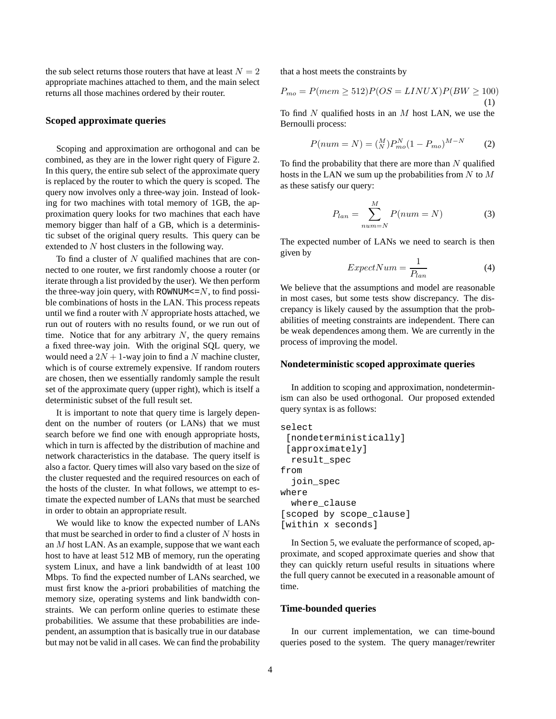the sub select returns those routers that have at least  $N = 2$ appropriate machines attached to them, and the main select returns all those machines ordered by their router.

### **Scoped approximate queries**

Scoping and approximation are orthogonal and can be combined, as they are in the lower right query of Figure 2. In this query, the entire sub select of the approximate query is replaced by the router to which the query is scoped. The query now involves only a three-way join. Instead of looking for two machines with total memory of 1GB, the approximation query looks for two machines that each have memory bigger than half of a GB, which is a deterministic subset of the original query results. This query can be extended to N host clusters in the following way.

To find a cluster of  $N$  qualified machines that are connected to one router, we first randomly choose a router (or iterate through a list provided by the user). We then perform the three-way join query, with ROWNUM $\leq N$ , to find possible combinations of hosts in the LAN. This process repeats until we find a router with  $N$  appropriate hosts attached, we run out of routers with no results found, or we run out of time. Notice that for any arbitrary  $N$ , the query remains a fixed three-way join. With the original SQL query, we would need a  $2N + 1$ -way join to find a N machine cluster, which is of course extremely expensive. If random routers are chosen, then we essentially randomly sample the result set of the approximate query (upper right), which is itself a deterministic subset of the full result set.

It is important to note that query time is largely dependent on the number of routers (or LANs) that we must search before we find one with enough appropriate hosts, which in turn is affected by the distribution of machine and network characteristics in the database. The query itself is also a factor. Query times will also vary based on the size of the cluster requested and the required resources on each of the hosts of the cluster. In what follows, we attempt to estimate the expected number of LANs that must be searched in order to obtain an appropriate result.

We would like to know the expected number of LANs that must be searched in order to find a cluster of  $N$  hosts in an M host LAN. As an example, suppose that we want each host to have at least 512 MB of memory, run the operating system Linux, and have a link bandwidth of at least 100 Mbps. To find the expected number of LANs searched, we must first know the a-priori probabilities of matching the memory size, operating systems and link bandwidth constraints. We can perform online queries to estimate these probabilities. We assume that these probabilities are independent, an assumption that is basically true in our database but may not be valid in all cases. We can find the probability that a host meets the constraints by

$$
P_{mo} = P(mem \ge 512)P(OS = LINUX)P(BW \ge 100)
$$
\n<sup>(1)</sup>

To find  $N$  qualified hosts in an  $M$  host LAN, we use the Bernoulli process:

$$
P(num = N) = {M \choose N} P_{mo}^N (1 - P_{mo})^{M - N}
$$
 (2)

To find the probability that there are more than  $N$  qualified hosts in the LAN we sum up the probabilities from  $N$  to  $M$ as these satisfy our query:

$$
P_{lan} = \sum_{num=N}^{M} P(num = N)
$$
 (3)

The expected number of LANs we need to search is then given by

$$
ExpectedNum = \frac{1}{P_{lan}}\tag{4}
$$

We believe that the assumptions and model are reasonable in most cases, but some tests show discrepancy. The discrepancy is likely caused by the assumption that the probabilities of meeting constraints are independent. There can be weak dependences among them. We are currently in the process of improving the model.

#### **Nondeterministic scoped approximate queries**

In addition to scoping and approximation, nondeterminism can also be used orthogonal. Our proposed extended query syntax is as follows:

```
select
 [nondeterministically]
 [approximately]
  result_spec
from
  join_spec
where
  where clause
[scoped by scope_clause]
[within x seconds]
```
In Section 5, we evaluate the performance of scoped, approximate, and scoped approximate queries and show that they can quickly return useful results in situations where the full query cannot be executed in a reasonable amount of time.

# **Time-bounded queries**

In our current implementation, we can time-bound queries posed to the system. The query manager/rewriter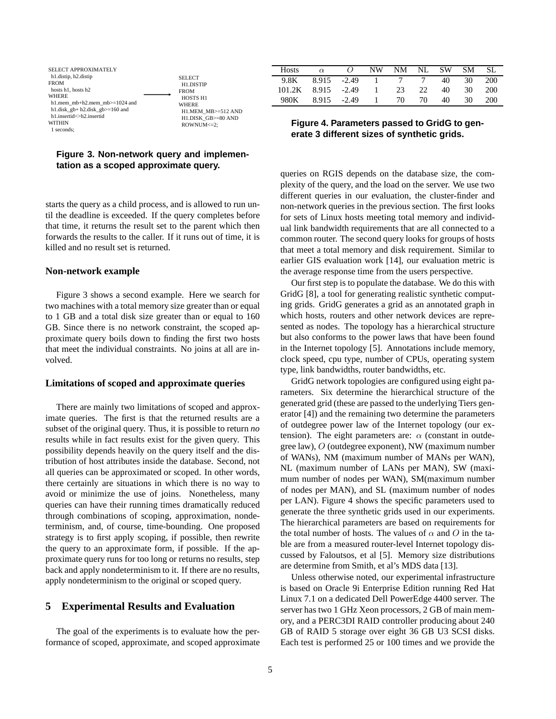

#### **Figure 3. Non-network query and implementation as a scoped approximate query.**

starts the query as a child process, and is allowed to run until the deadline is exceeded. If the query completes before that time, it returns the result set to the parent which then forwards the results to the caller. If it runs out of time, it is killed and no result set is returned.

#### **Non-network example**

Figure 3 shows a second example. Here we search for two machines with a total memory size greater than or equal to 1 GB and a total disk size greater than or equal to 160 GB. Since there is no network constraint, the scoped approximate query boils down to finding the first two hosts that meet the individual constraints. No joins at all are involved.

#### **Limitations of scoped and approximate queries**

There are mainly two limitations of scoped and approximate queries. The first is that the returned results are a subset of the original query. Thus, it is possible to return *no* results while in fact results exist for the given query. This possibility depends heavily on the query itself and the distribution of host attributes inside the database. Second, not all queries can be approximated or scoped. In other words, there certainly are situations in which there is no way to avoid or minimize the use of joins. Nonetheless, many queries can have their running times dramatically reduced through combinations of scoping, approximation, nondeterminism, and, of course, time-bounding. One proposed strategy is to first apply scoping, if possible, then rewrite the query to an approximate form, if possible. If the approximate query runs for too long or returns no results, step back and apply nondeterminism to it. If there are no results, apply nondeterminism to the original or scoped query.

#### **5 Experimental Results and Evaluation**

The goal of the experiments is to evaluate how the performance of scoped, approximate, and scoped approximate

| <b>Hosts</b>                         |                                  | O NW NM NL SW SM SL |  |       |       |
|--------------------------------------|----------------------------------|---------------------|--|-------|-------|
|                                      | 9.8K 8.915 -2.49 1 7 7 40 30 200 |                     |  |       |       |
| 101.2K 8.915 -2.49 1 23 22 40 30 200 |                                  |                     |  |       |       |
|                                      | 980K 8.915 -2.49 1 70 70         |                     |  | 40 30 | - 200 |

# **Figure 4. Parameters passed to GridG to generate 3 different sizes of synthetic grids.**

queries on RGIS depends on the database size, the complexity of the query, and the load on the server. We use two different queries in our evaluation, the cluster-finder and non-network queries in the previous section. The first looks for sets of Linux hosts meeting total memory and individual link bandwidth requirements that are all connected to a common router. The second query looks for groups of hosts that meet a total memory and disk requirement. Similar to earlier GIS evaluation work [14], our evaluation metric is the average response time from the users perspective.

Our first step is to populate the database. We do this with GridG [8], a tool for generating realistic synthetic computing grids. GridG generates a grid as an annotated graph in which hosts, routers and other network devices are represented as nodes. The topology has a hierarchical structure but also conforms to the power laws that have been found in the Internet topology [5]. Annotations include memory, clock speed, cpu type, number of CPUs, operating system type, link bandwidths, router bandwidths, etc.

GridG network topologies are configured using eight parameters. Six determine the hierarchical structure of the generated grid (these are passed to the underlying Tiers generator [4]) and the remaining two determine the parameters of outdegree power law of the Internet topology (our extension). The eight parameters are:  $\alpha$  (constant in outdegree law), O (outdegree exponent), NW (maximum number of WANs), NM (maximum number of MANs per WAN), NL (maximum number of LANs per MAN), SW (maximum number of nodes per WAN), SM(maximum number of nodes per MAN), and SL (maximum number of nodes per LAN). Figure 4 shows the specific parameters used to generate the three synthetic grids used in our experiments. The hierarchical parameters are based on requirements for the total number of hosts. The values of  $\alpha$  and  $\ddot{O}$  in the table are from a measured router-level Internet topology discussed by Faloutsos, et al [5]. Memory size distributions are determine from Smith, et al's MDS data [13].

Unless otherwise noted, our experimental infrastructure is based on Oracle 9i Enterprise Edition running Red Hat Linux 7.1 on a dedicated Dell PowerEdge 4400 server. The server has two 1 GHz Xeon processors, 2 GB of main memory, and a PERC3DI RAID controller producing about 240 GB of RAID 5 storage over eight 36 GB U3 SCSI disks. Each test is performed 25 or 100 times and we provide the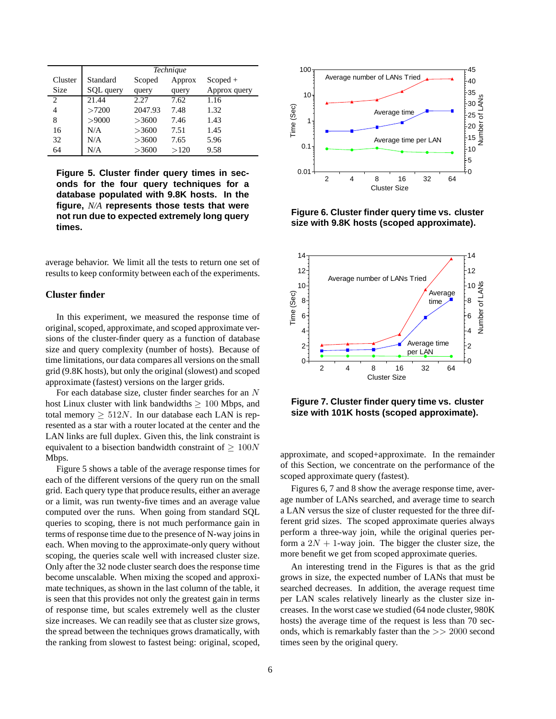|         | <i>Technique</i> |         |        |                   |  |  |
|---------|------------------|---------|--------|-------------------|--|--|
| Cluster | Standard         | Scoped  | Approx | $S\text{coped} +$ |  |  |
| Size    | SQL query        | query   | query  | Approx query      |  |  |
| 2       | 21.44            | 2.27    | 7.62   | 1.16              |  |  |
| 4       | >7200            | 2047.93 | 7.48   | 1.32              |  |  |
| 8       | > 9000           | >3600   | 7.46   | 1.43              |  |  |
| 16      | N/A              | >3600   | 7.51   | 1.45              |  |  |
| 32      | N/A              | >3600   | 7.65   | 5.96              |  |  |
| 64      | N/A              | >3600   | >120   | 9.58              |  |  |

**Figure 5. Cluster finder query times in seconds for the four query techniques for a database populated with 9.8K hosts. In the figure,** *N/A* **represents those tests that were not run due to expected extremely long query times.**

average behavior. We limit all the tests to return one set of results to keep conformity between each of the experiments.

## **Cluster finder**

In this experiment, we measured the response time of original, scoped, approximate, and scoped approximate versions of the cluster-finder query as a function of database size and query complexity (number of hosts). Because of time limitations, our data compares all versions on the small grid (9.8K hosts), but only the original (slowest) and scoped approximate (fastest) versions on the larger grids.

For each database size, cluster finder searches for an N host Linux cluster with link bandwidths  $\geq 100$  Mbps, and total memory  $> 512N$ . In our database each LAN is represented as a star with a router located at the center and the LAN links are full duplex. Given this, the link constraint is equivalent to a bisection bandwidth constraint of  $> 100N$ Mbps.

Figure 5 shows a table of the average response times for each of the different versions of the query run on the small grid. Each query type that produce results, either an average or a limit, was run twenty-five times and an average value computed over the runs. When going from standard SQL queries to scoping, there is not much performance gain in terms of response time due to the presence of N-way joins in each. When moving to the approximate-only query without scoping, the queries scale well with increased cluster size. Only after the 32 node cluster search does the response time become unscalable. When mixing the scoped and approximate techniques, as shown in the last column of the table, it is seen that this provides not only the greatest gain in terms of response time, but scales extremely well as the cluster size increases. We can readily see that as cluster size grows, the spread between the techniques grows dramatically, with the ranking from slowest to fastest being: original, scoped,



**Figure 6. Cluster finder query time vs. cluster size with 9.8K hosts (scoped approximate).**



**Figure 7. Cluster finder query time vs. cluster size with 101K hosts (scoped approximate).**

approximate, and scoped+approximate. In the remainder of this Section, we concentrate on the performance of the scoped approximate query (fastest).

Figures 6, 7 and 8 show the average response time, average number of LANs searched, and average time to search a LAN versus the size of cluster requested for the three different grid sizes. The scoped approximate queries always perform a three-way join, while the original queries perform a  $2N + 1$ -way join. The bigger the cluster size, the more benefit we get from scoped approximate queries.

An interesting trend in the Figures is that as the grid grows in size, the expected number of LANs that must be searched decreases. In addition, the average request time per LAN scales relatively linearly as the cluster size increases. In the worst case we studied (64 node cluster, 980K hosts) the average time of the request is less than 70 seconds, which is remarkably faster than the >> 2000 second times seen by the original query.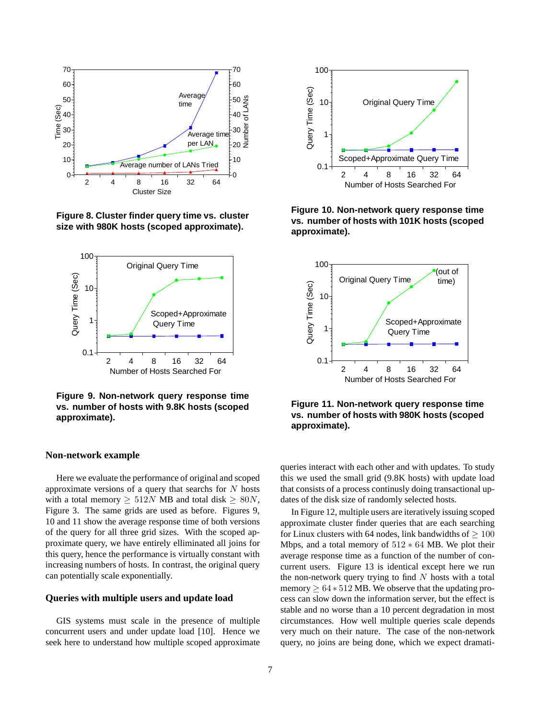

**Figure 8. Cluster finder query time vs. cluster size with 980K hosts (scoped approximate).**



**Figure 9. Non-network query response time vs. number of hosts with 9.8K hosts (scoped approximate).**

#### **Non-network example**

Here we evaluate the performance of original and scoped approximate versions of a query that searchs for  $N$  hosts with a total memory  $\geq 512N$  MB and total disk  $\geq 80N$ , Figure 3. The same grids are used as before. Figures 9, 10 and 11 show the average response time of both versions of the query for all three grid sizes. With the scoped approximate query, we have entirely elliminated all joins for this query, hence the performance is virtually constant with increasing numbers of hosts. In contrast, the original query can potentially scale exponentially.

### **Queries with multiple users and update load**

GIS systems must scale in the presence of multiple concurrent users and under update load [10]. Hence we seek here to understand how multiple scoped approximate



**Figure 10. Non-network query response time vs. number of hosts with 101K hosts (scoped approximate).**



**Figure 11. Non-network query response time vs. number of hosts with 980K hosts (scoped approximate).**

queries interact with each other and with updates. To study this we used the small grid (9.8K hosts) with update load that consists of a process continusly doing transactional updates of the disk size of randomly selected hosts.

In Figure 12, multiple users are iteratively issuing scoped approximate cluster finder queries that are each searching for Linux clusters with 64 nodes, link bandwidths of  $\geq 100$ Mbps, and a total memory of  $512 * 64$  MB. We plot their average response time as a function of the number of concurrent users. Figure 13 is identical except here we run the non-network query trying to find  $N$  hosts with a total memory  $\geq 64 * 512$  MB. We observe that the updating process can slow down the information server, but the effect is stable and no worse than a 10 percent degradation in most circumstances. How well multiple queries scale depends very much on their nature. The case of the non-network query, no joins are being done, which we expect dramati-